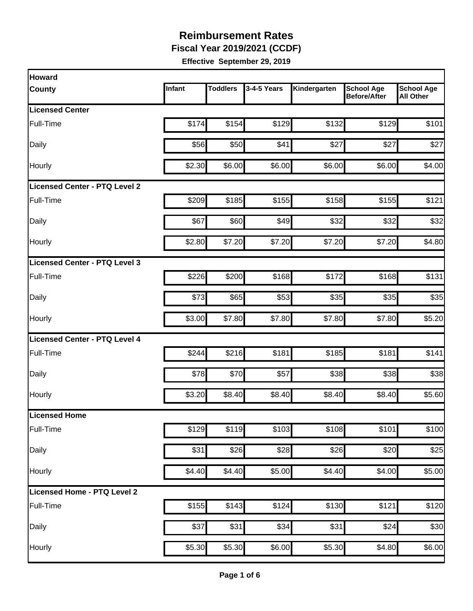**Fiscal Year 2019/2021 (CCDF)** 

| Howard                               |        |                 |             |              |                                          |                                       |
|--------------------------------------|--------|-----------------|-------------|--------------|------------------------------------------|---------------------------------------|
| <b>County</b>                        | Infant | <b>Toddlers</b> | 3-4-5 Years | Kindergarten | <b>School Age</b><br><b>Before/After</b> | <b>School Age</b><br><b>All Other</b> |
| <b>Licensed Center</b>               |        |                 |             |              |                                          |                                       |
| Full-Time                            | \$174  | \$154           | \$129       | \$132        | \$129                                    | \$101                                 |
| Daily                                | \$56   | \$50            | \$41        | \$27         | \$27                                     | \$27                                  |
| Hourly                               | \$2.30 | \$6.00          | \$6.00      | \$6.00       | \$6.00                                   | \$4.00                                |
| <b>Licensed Center - PTQ Level 2</b> |        |                 |             |              |                                          |                                       |
| Full-Time                            | \$209  | \$185           | \$155       | \$158        | \$155                                    | \$121                                 |
| Daily                                | \$67   | \$60            | \$49        | \$32         | \$32                                     | \$32                                  |
| Hourly                               | \$2.80 | \$7.20          | \$7.20      | \$7.20       | \$7.20                                   | \$4.80                                |
| Licensed Center - PTQ Level 3        |        |                 |             |              |                                          |                                       |
| Full-Time                            | \$226  | \$200           | \$168       | \$172        | \$168                                    | \$131                                 |
| Daily                                | \$73   | \$65            | \$53        | \$35         | \$35                                     | \$35                                  |
| Hourly                               | \$3.00 | \$7.80          | \$7.80      | \$7.80       | \$7.80                                   | \$5.20                                |
| Licensed Center - PTQ Level 4        |        |                 |             |              |                                          |                                       |
| Full-Time                            | \$244  | \$216           | \$181       | \$185        | \$181                                    | \$141                                 |
| Daily                                | \$78   | \$70            | \$57        | \$38         | \$38                                     | \$38                                  |
| Hourly                               | \$3.20 | \$8.40          | \$8.40      | \$8.40       | \$8.40                                   | \$5.60                                |
| Licensed Home                        |        |                 |             |              |                                          |                                       |
| Full-Time                            | \$129  | \$119           | \$103       | \$108        | \$101                                    | \$100                                 |
| Daily                                | \$31   | \$26            | \$28        | \$26         | \$20                                     | \$25                                  |
| Hourly                               | \$4.40 | \$4.40          | \$5.00      | \$4.40       | \$4.00                                   | \$5.00                                |
| Licensed Home - PTQ Level 2          |        |                 |             |              |                                          |                                       |
| Full-Time                            | \$155  | \$143           | \$124       | \$130        | \$121                                    | \$120                                 |
| Daily                                | \$37   | \$31            | \$34        | \$31         | \$24                                     | \$30                                  |
| Hourly                               | \$5.30 | \$5.30          | \$6.00      | \$5.30       | \$4.80                                   | \$6.00                                |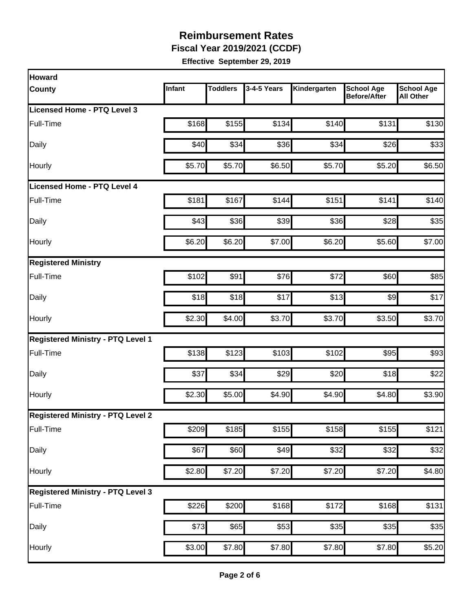**Fiscal Year 2019/2021 (CCDF)** 

| Howard                                   |        |                 |             |                    |                                          |                                       |
|------------------------------------------|--------|-----------------|-------------|--------------------|------------------------------------------|---------------------------------------|
| County                                   | Infant | <b>Toddlers</b> | 3-4-5 Years | Kindergarten       | <b>School Age</b><br><b>Before/After</b> | <b>School Age</b><br><b>All Other</b> |
| <b>Licensed Home - PTQ Level 3</b>       |        |                 |             |                    |                                          |                                       |
| Full-Time                                | \$168  | \$155           | \$134       | \$140              | \$131                                    | \$130                                 |
| Daily                                    | \$40   | \$34            | \$36        | \$34               | \$26                                     | \$33                                  |
| Hourly                                   | \$5.70 | \$5.70          | \$6.50      | \$5.70             | \$5.20                                   | \$6.50                                |
| Licensed Home - PTQ Level 4              |        |                 |             |                    |                                          |                                       |
| Full-Time                                | \$181  | \$167           | \$144       | \$151              | \$141                                    | \$140                                 |
| Daily                                    | \$43   | \$36            | \$39        | \$36               | \$28                                     | \$35                                  |
| Hourly                                   | \$6.20 | \$6.20          | \$7.00      | \$6.20             | \$5.60                                   | \$7.00                                |
| <b>Registered Ministry</b>               |        |                 |             |                    |                                          |                                       |
| Full-Time                                | \$102  | \$91            | \$76        | \$72               | \$60                                     | \$85                                  |
| Daily                                    | \$18   | \$18            | \$17        | \$13               | \$9                                      | \$17                                  |
| Hourly                                   | \$2.30 | \$4.00          | \$3.70      | \$3.70             | \$3.50                                   | \$3.70                                |
| <b>Registered Ministry - PTQ Level 1</b> |        |                 |             |                    |                                          |                                       |
| Full-Time                                | \$138  | \$123           | \$103       | \$102              | \$95                                     | \$93                                  |
| Daily                                    | \$37   | \$34            | \$29        | \$20               | \$18                                     | \$22                                  |
| Hourly                                   | \$2.30 | \$5.00          | \$4.90      | \$4.90             | \$4.80                                   | \$3.90                                |
| <b>Registered Ministry - PTQ Level 2</b> |        |                 |             |                    |                                          |                                       |
| Full-Time                                | \$209  | \$185           | \$155       | \$158              | \$155                                    | \$121                                 |
| Daily                                    | \$67   | \$60            | \$49        | \$32               | \$32                                     | \$32                                  |
| Hourly                                   | \$2.80 | \$7.20          | \$7.20      | \$7.20             | \$7.20                                   | \$4.80                                |
| <b>Registered Ministry - PTQ Level 3</b> |        |                 |             |                    |                                          |                                       |
| Full-Time                                | \$226  | \$200           | \$168       | \$172              | \$168                                    | \$131                                 |
| Daily                                    | \$73   | \$65            | \$53        | \$35               | \$35                                     | \$35                                  |
| Hourly                                   | \$3.00 | \$7.80          | \$7.80      | $\overline{$7.80}$ | \$7.80                                   | \$5.20                                |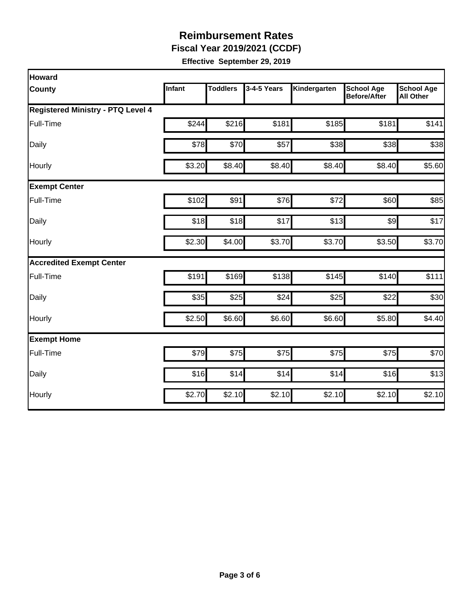**Fiscal Year 2019/2021 (CCDF)** 

| Howard                                   |        |                 |             |              |                                          |                                       |
|------------------------------------------|--------|-----------------|-------------|--------------|------------------------------------------|---------------------------------------|
| County                                   | Infant | <b>Toddlers</b> | 3-4-5 Years | Kindergarten | <b>School Age</b><br><b>Before/After</b> | <b>School Age</b><br><b>All Other</b> |
| <b>Registered Ministry - PTQ Level 4</b> |        |                 |             |              |                                          |                                       |
| Full-Time                                | \$244  | \$216           | \$181       | \$185        | \$181                                    | \$141                                 |
| Daily                                    | \$78   | \$70            | \$57        | \$38         | \$38                                     | \$38                                  |
| Hourly                                   | \$3.20 | \$8.40          | \$8.40      | \$8.40       | \$8.40                                   | \$5.60                                |
| <b>Exempt Center</b>                     |        |                 |             |              |                                          |                                       |
| Full-Time                                | \$102  | \$91            | \$76        | \$72         | \$60                                     | \$85                                  |
| Daily                                    | \$18   | \$18            | \$17        | \$13         | $\frac{1}{2}$                            | \$17                                  |
| Hourly                                   | \$2.30 | \$4.00          | \$3.70      | \$3.70       | \$3.50                                   | \$3.70                                |
| <b>Accredited Exempt Center</b>          |        |                 |             |              |                                          |                                       |
| Full-Time                                | \$191  | \$169           | \$138       | \$145        | \$140                                    | \$111                                 |
| Daily                                    | \$35   | \$25            | \$24        | \$25         | \$22                                     | \$30                                  |
| Hourly                                   | \$2.50 | \$6.60          | \$6.60      | \$6.60       | \$5.80                                   | \$4.40                                |
| <b>Exempt Home</b>                       |        |                 |             |              |                                          |                                       |
| Full-Time                                | \$79   | \$75            | \$75        | \$75         | \$75                                     | \$70                                  |
| Daily                                    | \$16   | \$14            | \$14        | \$14         | \$16                                     | \$13                                  |
| Hourly                                   | \$2.70 | \$2.10          | \$2.10      | \$2.10       | \$2.10                                   | \$2.10                                |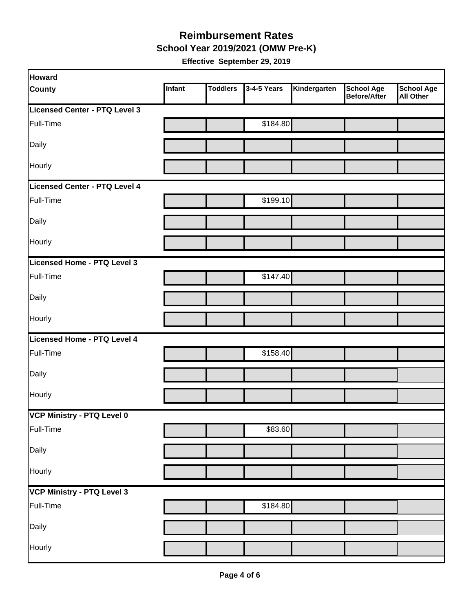#### **Reimbursement Rates School Year 2019/2021 (OMW Pre-K)**

| Howard                        |        |                 |             |              |                                          |                                       |
|-------------------------------|--------|-----------------|-------------|--------------|------------------------------------------|---------------------------------------|
| <b>County</b>                 | Infant | <b>Toddlers</b> | 3-4-5 Years | Kindergarten | <b>School Age</b><br><b>Before/After</b> | <b>School Age</b><br><b>All Other</b> |
| Licensed Center - PTQ Level 3 |        |                 |             |              |                                          |                                       |
| Full-Time                     |        |                 | \$184.80    |              |                                          |                                       |
| Daily                         |        |                 |             |              |                                          |                                       |
| Hourly                        |        |                 |             |              |                                          |                                       |
| Licensed Center - PTQ Level 4 |        |                 |             |              |                                          |                                       |
| Full-Time                     |        |                 | \$199.10    |              |                                          |                                       |
| Daily                         |        |                 |             |              |                                          |                                       |
| Hourly                        |        |                 |             |              |                                          |                                       |
| Licensed Home - PTQ Level 3   |        |                 |             |              |                                          |                                       |
| Full-Time                     |        |                 | \$147.40    |              |                                          |                                       |
| Daily                         |        |                 |             |              |                                          |                                       |
| Hourly                        |        |                 |             |              |                                          |                                       |
| Licensed Home - PTQ Level 4   |        |                 |             |              |                                          |                                       |
| Full-Time                     |        |                 | \$158.40    |              |                                          |                                       |
| Daily                         |        |                 |             |              |                                          |                                       |
| Hourly                        |        |                 |             |              |                                          |                                       |
| VCP Ministry - PTQ Level 0    |        |                 |             |              |                                          |                                       |
| Full-Time                     |        |                 | \$83.60     |              |                                          |                                       |
| Daily                         |        |                 |             |              |                                          |                                       |
| Hourly                        |        |                 |             |              |                                          |                                       |
| VCP Ministry - PTQ Level 3    |        |                 |             |              |                                          |                                       |
| Full-Time                     |        |                 | \$184.80    |              |                                          |                                       |
| Daily                         |        |                 |             |              |                                          |                                       |
| Hourly                        |        |                 |             |              |                                          |                                       |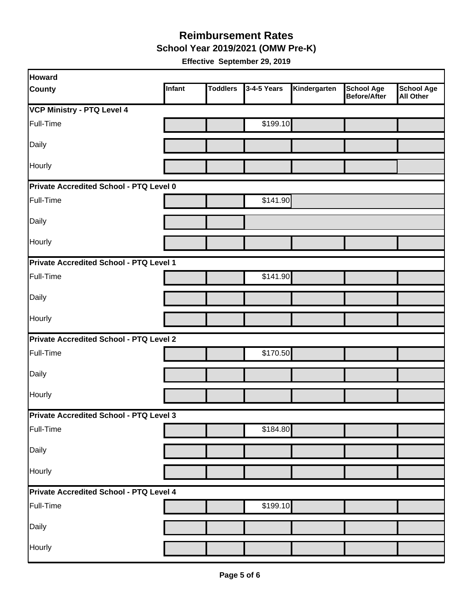**School Year 2019/2021 (OMW Pre-K)** 

| Howard                                  |        |                 |             |              |                                          |                                       |
|-----------------------------------------|--------|-----------------|-------------|--------------|------------------------------------------|---------------------------------------|
| <b>County</b>                           | Infant | <b>Toddlers</b> | 3-4-5 Years | Kindergarten | <b>School Age</b><br><b>Before/After</b> | <b>School Age</b><br><b>All Other</b> |
| <b>VCP Ministry - PTQ Level 4</b>       |        |                 |             |              |                                          |                                       |
| Full-Time                               |        |                 | \$199.10    |              |                                          |                                       |
| Daily                                   |        |                 |             |              |                                          |                                       |
| Hourly                                  |        |                 |             |              |                                          |                                       |
| Private Accredited School - PTQ Level 0 |        |                 |             |              |                                          |                                       |
| Full-Time                               |        |                 | \$141.90    |              |                                          |                                       |
| Daily                                   |        |                 |             |              |                                          |                                       |
| Hourly                                  |        |                 |             |              |                                          |                                       |
| Private Accredited School - PTQ Level 1 |        |                 |             |              |                                          |                                       |
| Full-Time                               |        |                 | \$141.90    |              |                                          |                                       |
| Daily                                   |        |                 |             |              |                                          |                                       |
| <b>Hourly</b>                           |        |                 |             |              |                                          |                                       |
| Private Accredited School - PTQ Level 2 |        |                 |             |              |                                          |                                       |
| Full-Time                               |        |                 | \$170.50    |              |                                          |                                       |
| Daily                                   |        |                 |             |              |                                          |                                       |
| Hourly                                  |        |                 |             |              |                                          |                                       |
| Private Accredited School - PTQ Level 3 |        |                 |             |              |                                          |                                       |
| Full-Time                               |        |                 | \$184.80    |              |                                          |                                       |
| Daily                                   |        |                 |             |              |                                          |                                       |
| Hourly                                  |        |                 |             |              |                                          |                                       |
| Private Accredited School - PTQ Level 4 |        |                 |             |              |                                          |                                       |
| Full-Time                               |        |                 | \$199.10    |              |                                          |                                       |
| Daily                                   |        |                 |             |              |                                          |                                       |
| Hourly                                  |        |                 |             |              |                                          |                                       |